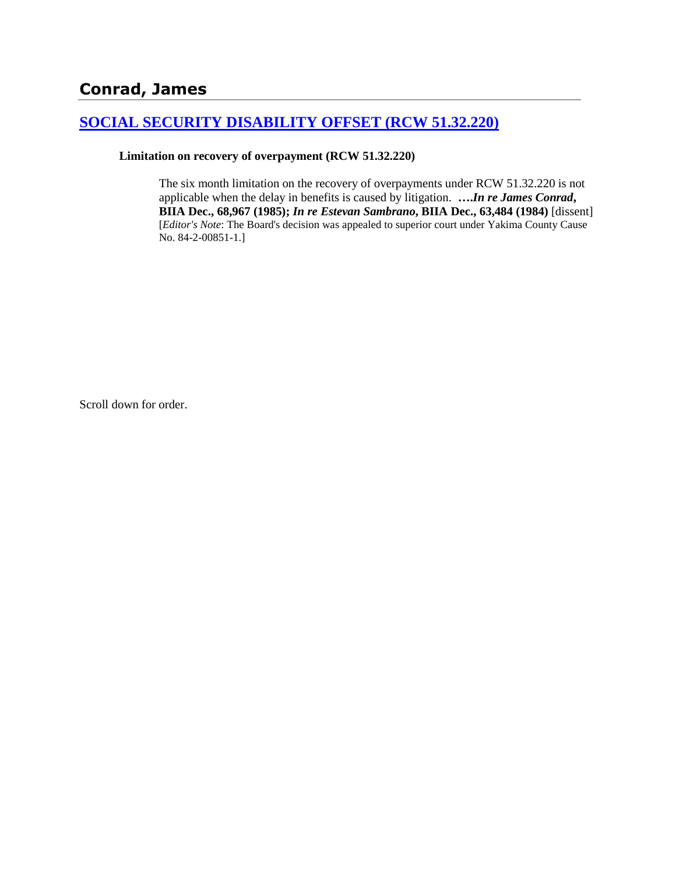# **[SOCIAL SECURITY DISABILITY OFFSET \(RCW 51.32.220\)](http://www.biia.wa.gov/SDSubjectIndex.html#SOCIAL_SECURITY_DISABILITY_OFFSET)**

#### **Limitation on recovery of overpayment (RCW 51.32.220)**

The six month limitation on the recovery of overpayments under RCW 51.32.220 is not applicable when the delay in benefits is caused by litigation. **….***In re James Conrad***, BIIA Dec., 68,967 (1985);** *In re Estevan Sambrano***, BIIA Dec., 63,484 (1984)** [dissent] [*Editor's Note*: The Board's decision was appealed to superior court under Yakima County Cause No. 84-2-00851-1.]

Scroll down for order.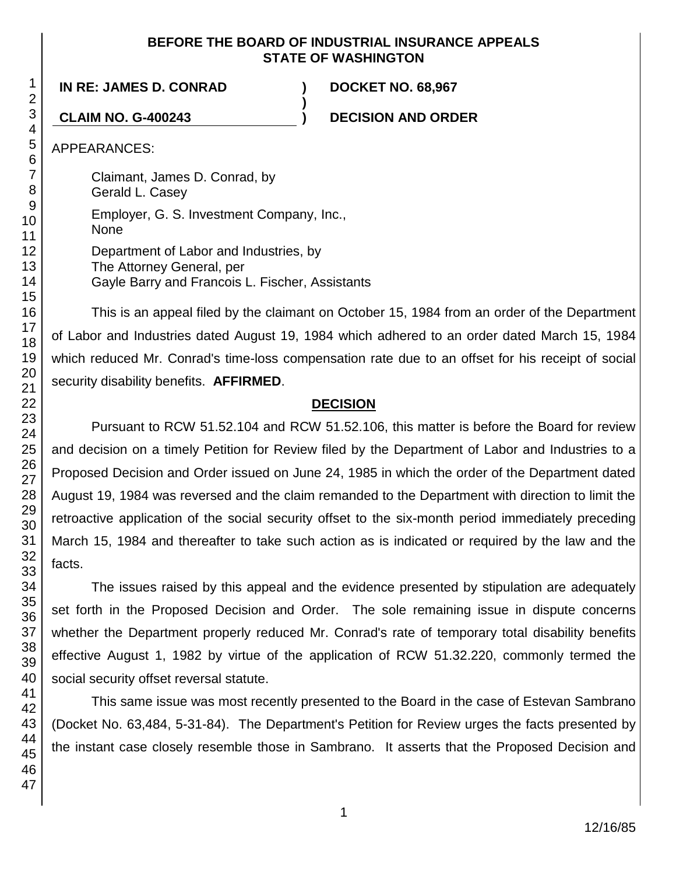## **BEFORE THE BOARD OF INDUSTRIAL INSURANCE APPEALS STATE OF WASHINGTON**

**)**

**IN RE: JAMES D. CONRAD ) DOCKET NO. 68,967**

**CLAIM NO. G-400243 ) DECISION AND ORDER**

APPEARANCES:

Claimant, James D. Conrad, by Gerald L. Casey Employer, G. S. Investment Company, Inc., None Department of Labor and Industries, by The Attorney General, per Gayle Barry and Francois L. Fischer, Assistants

This is an appeal filed by the claimant on October 15, 1984 from an order of the Department of Labor and Industries dated August 19, 1984 which adhered to an order dated March 15, 1984 which reduced Mr. Conrad's time-loss compensation rate due to an offset for his receipt of social security disability benefits. **AFFIRMED**.

# **DECISION**

Pursuant to RCW 51.52.104 and RCW 51.52.106, this matter is before the Board for review and decision on a timely Petition for Review filed by the Department of Labor and Industries to a Proposed Decision and Order issued on June 24, 1985 in which the order of the Department dated August 19, 1984 was reversed and the claim remanded to the Department with direction to limit the retroactive application of the social security offset to the six-month period immediately preceding March 15, 1984 and thereafter to take such action as is indicated or required by the law and the facts.

The issues raised by this appeal and the evidence presented by stipulation are adequately set forth in the Proposed Decision and Order. The sole remaining issue in dispute concerns whether the Department properly reduced Mr. Conrad's rate of temporary total disability benefits effective August 1, 1982 by virtue of the application of RCW 51.32.220, commonly termed the social security offset reversal statute.

This same issue was most recently presented to the Board in the case of Estevan Sambrano (Docket No. 63,484, 5-31-84). The Department's Petition for Review urges the facts presented by the instant case closely resemble those in Sambrano. It asserts that the Proposed Decision and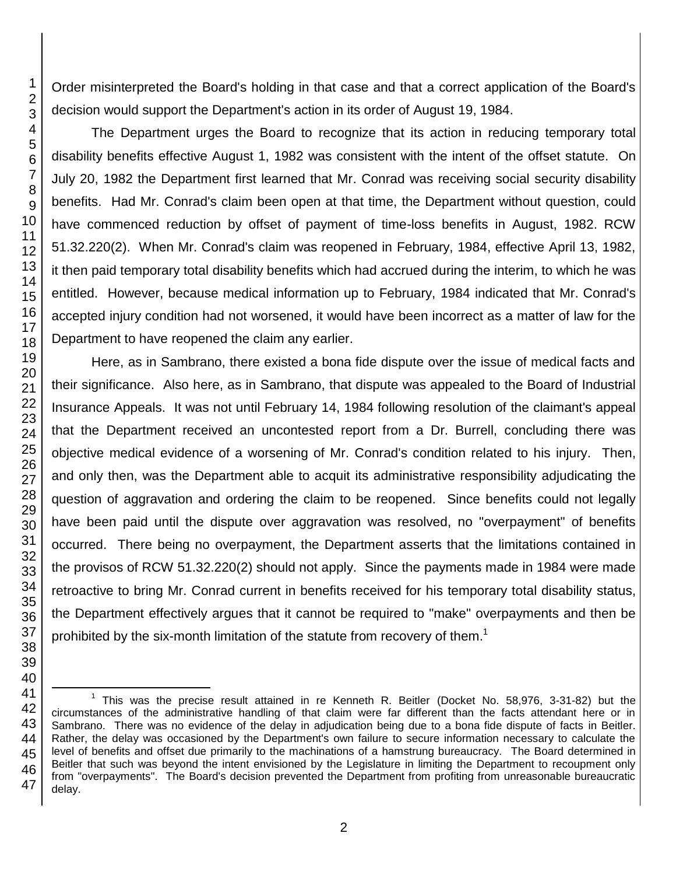The Department urges the Board to recognize that its action in reducing temporary total disability benefits effective August 1, 1982 was consistent with the intent of the offset statute. On July 20, 1982 the Department first learned that Mr. Conrad was receiving social security disability benefits. Had Mr. Conrad's claim been open at that time, the Department without question, could have commenced reduction by offset of payment of time-loss benefits in August, 1982. RCW 51.32.220(2). When Mr. Conrad's claim was reopened in February, 1984, effective April 13, 1982, it then paid temporary total disability benefits which had accrued during the interim, to which he was entitled. However, because medical information up to February, 1984 indicated that Mr. Conrad's accepted injury condition had not worsened, it would have been incorrect as a matter of law for the Department to have reopened the claim any earlier.

Here, as in Sambrano, there existed a bona fide dispute over the issue of medical facts and their significance. Also here, as in Sambrano, that dispute was appealed to the Board of Industrial Insurance Appeals. It was not until February 14, 1984 following resolution of the claimant's appeal that the Department received an uncontested report from a Dr. Burrell, concluding there was objective medical evidence of a worsening of Mr. Conrad's condition related to his injury. Then, and only then, was the Department able to acquit its administrative responsibility adjudicating the question of aggravation and ordering the claim to be reopened. Since benefits could not legally have been paid until the dispute over aggravation was resolved, no "overpayment" of benefits occurred. There being no overpayment, the Department asserts that the limitations contained in the provisos of RCW 51.32.220(2) should not apply. Since the payments made in 1984 were made retroactive to bring Mr. Conrad current in benefits received for his temporary total disability status, the Department effectively argues that it cannot be required to "make" overpayments and then be prohibited by the six-month limitation of the statute from recovery of them.<sup>1</sup>

Order misinterpreted the Board's holding in that case and that a correct application of the Board's decision would support the Department's action in its order of August 19, 1984.

<sup>41</sup> 42 43 44 45 46 47 <sup>1</sup> This was the precise result attained in re Kenneth R. Beitler (Docket No. 58,976, 3-31-82) but the circumstances of the administrative handling of that claim were far different than the facts attendant here or in Sambrano. There was no evidence of the delay in adjudication being due to a bona fide dispute of facts in Beitler. Rather, the delay was occasioned by the Department's own failure to secure information necessary to calculate the level of benefits and offset due primarily to the machinations of a hamstrung bureaucracy. The Board determined in Beitler that such was beyond the intent envisioned by the Legislature in limiting the Department to recoupment only from "overpayments". The Board's decision prevented the Department from profiting from unreasonable bureaucratic delay.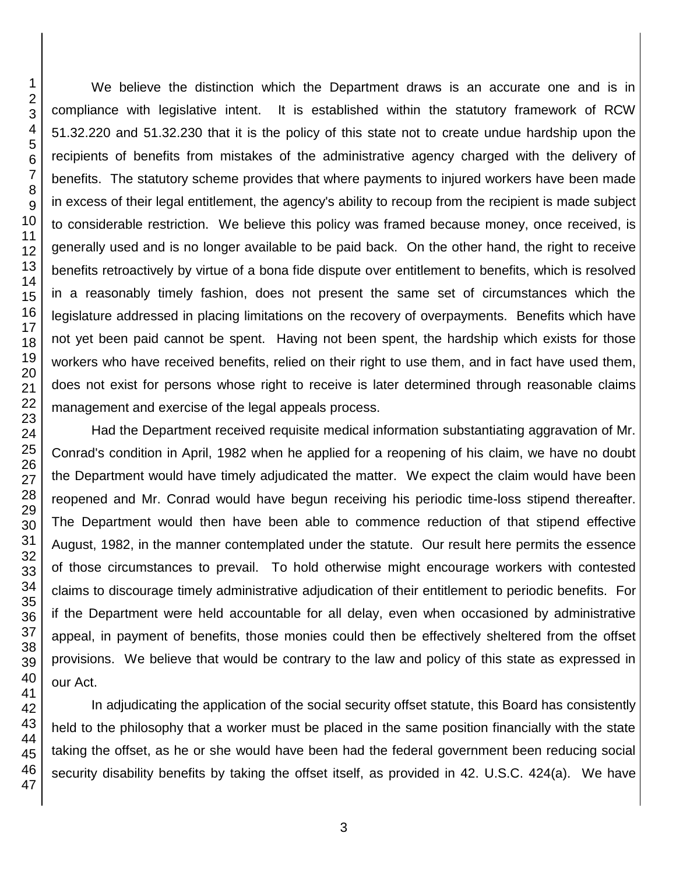We believe the distinction which the Department draws is an accurate one and is in compliance with legislative intent. It is established within the statutory framework of RCW 51.32.220 and 51.32.230 that it is the policy of this state not to create undue hardship upon the recipients of benefits from mistakes of the administrative agency charged with the delivery of benefits. The statutory scheme provides that where payments to injured workers have been made in excess of their legal entitlement, the agency's ability to recoup from the recipient is made subject to considerable restriction. We believe this policy was framed because money, once received, is generally used and is no longer available to be paid back. On the other hand, the right to receive benefits retroactively by virtue of a bona fide dispute over entitlement to benefits, which is resolved in a reasonably timely fashion, does not present the same set of circumstances which the legislature addressed in placing limitations on the recovery of overpayments. Benefits which have not yet been paid cannot be spent. Having not been spent, the hardship which exists for those workers who have received benefits, relied on their right to use them, and in fact have used them, does not exist for persons whose right to receive is later determined through reasonable claims management and exercise of the legal appeals process.

Had the Department received requisite medical information substantiating aggravation of Mr. Conrad's condition in April, 1982 when he applied for a reopening of his claim, we have no doubt the Department would have timely adjudicated the matter. We expect the claim would have been reopened and Mr. Conrad would have begun receiving his periodic time-loss stipend thereafter. The Department would then have been able to commence reduction of that stipend effective August, 1982, in the manner contemplated under the statute. Our result here permits the essence of those circumstances to prevail. To hold otherwise might encourage workers with contested claims to discourage timely administrative adjudication of their entitlement to periodic benefits. For if the Department were held accountable for all delay, even when occasioned by administrative appeal, in payment of benefits, those monies could then be effectively sheltered from the offset provisions. We believe that would be contrary to the law and policy of this state as expressed in our Act.

In adjudicating the application of the social security offset statute, this Board has consistently held to the philosophy that a worker must be placed in the same position financially with the state taking the offset, as he or she would have been had the federal government been reducing social security disability benefits by taking the offset itself, as provided in 42. U.S.C. 424(a). We have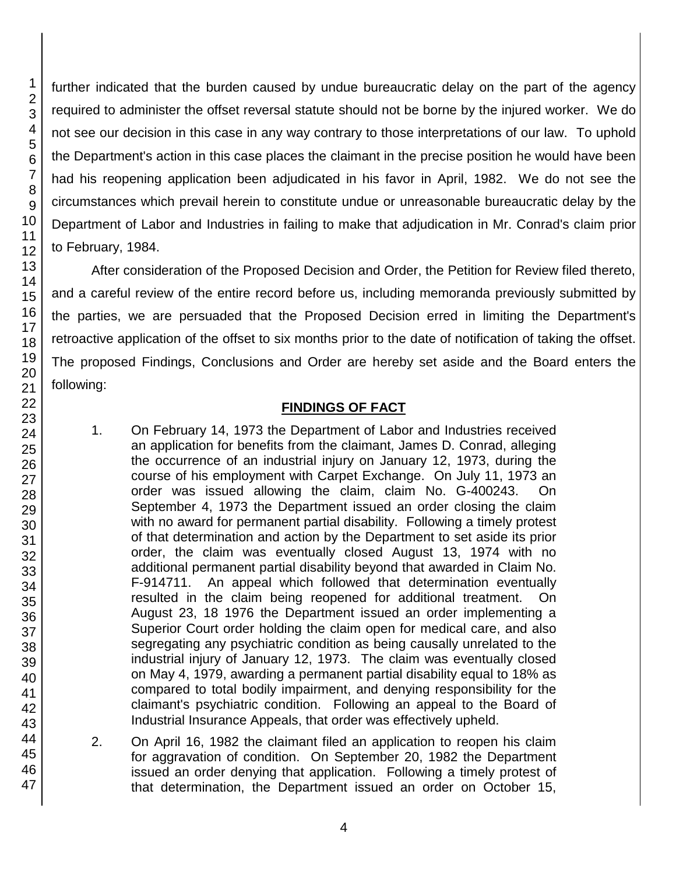further indicated that the burden caused by undue bureaucratic delay on the part of the agency required to administer the offset reversal statute should not be borne by the injured worker. We do not see our decision in this case in any way contrary to those interpretations of our law. To uphold the Department's action in this case places the claimant in the precise position he would have been had his reopening application been adjudicated in his favor in April, 1982. We do not see the circumstances which prevail herein to constitute undue or unreasonable bureaucratic delay by the Department of Labor and Industries in failing to make that adjudication in Mr. Conrad's claim prior to February, 1984.

After consideration of the Proposed Decision and Order, the Petition for Review filed thereto, and a careful review of the entire record before us, including memoranda previously submitted by the parties, we are persuaded that the Proposed Decision erred in limiting the Department's retroactive application of the offset to six months prior to the date of notification of taking the offset. The proposed Findings, Conclusions and Order are hereby set aside and the Board enters the following:

## **FINDINGS OF FACT**

- 1. On February 14, 1973 the Department of Labor and Industries received an application for benefits from the claimant, James D. Conrad, alleging the occurrence of an industrial injury on January 12, 1973, during the course of his employment with Carpet Exchange. On July 11, 1973 an order was issued allowing the claim, claim No. G-400243. On September 4, 1973 the Department issued an order closing the claim with no award for permanent partial disability. Following a timely protest of that determination and action by the Department to set aside its prior order, the claim was eventually closed August 13, 1974 with no additional permanent partial disability beyond that awarded in Claim No. F-914711. An appeal which followed that determination eventually resulted in the claim being reopened for additional treatment. On August 23, 18 1976 the Department issued an order implementing a Superior Court order holding the claim open for medical care, and also segregating any psychiatric condition as being causally unrelated to the industrial injury of January 12, 1973. The claim was eventually closed on May 4, 1979, awarding a permanent partial disability equal to 18% as compared to total bodily impairment, and denying responsibility for the claimant's psychiatric condition. Following an appeal to the Board of Industrial Insurance Appeals, that order was effectively upheld.
- 2. On April 16, 1982 the claimant filed an application to reopen his claim for aggravation of condition. On September 20, 1982 the Department issued an order denying that application. Following a timely protest of that determination, the Department issued an order on October 15,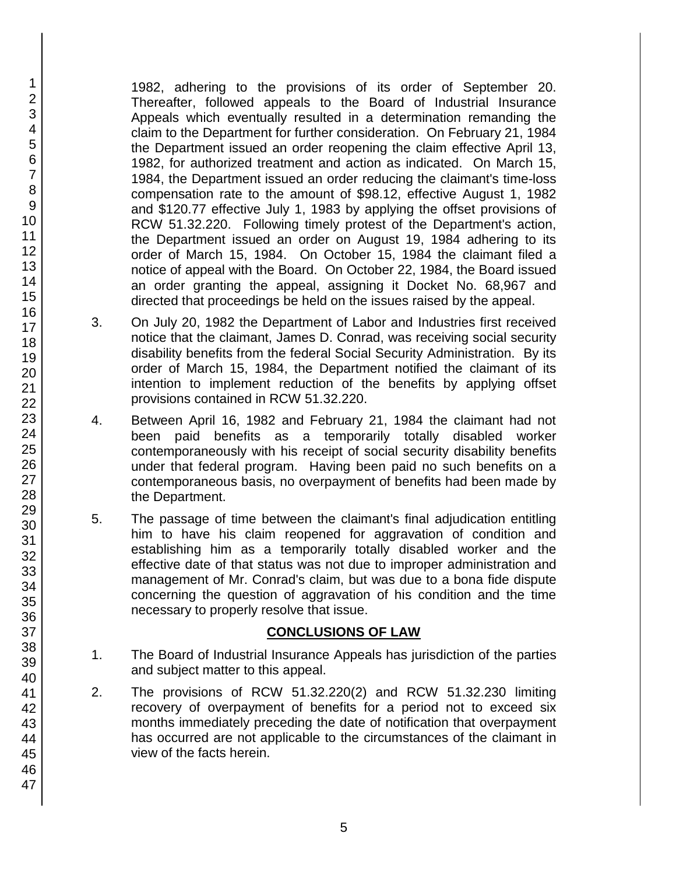1982, adhering to the provisions of its order of September 20. Thereafter, followed appeals to the Board of Industrial Insurance Appeals which eventually resulted in a determination remanding the claim to the Department for further consideration. On February 21, 1984 the Department issued an order reopening the claim effective April 13, 1982, for authorized treatment and action as indicated. On March 15, 1984, the Department issued an order reducing the claimant's time-loss compensation rate to the amount of \$98.12, effective August 1, 1982 and \$120.77 effective July 1, 1983 by applying the offset provisions of RCW 51.32.220. Following timely protest of the Department's action, the Department issued an order on August 19, 1984 adhering to its order of March 15, 1984. On October 15, 1984 the claimant filed a notice of appeal with the Board. On October 22, 1984, the Board issued an order granting the appeal, assigning it Docket No. 68,967 and directed that proceedings be held on the issues raised by the appeal.

- 3. On July 20, 1982 the Department of Labor and Industries first received notice that the claimant, James D. Conrad, was receiving social security disability benefits from the federal Social Security Administration. By its order of March 15, 1984, the Department notified the claimant of its intention to implement reduction of the benefits by applying offset provisions contained in RCW 51.32.220.
- 4. Between April 16, 1982 and February 21, 1984 the claimant had not been paid benefits as a temporarily totally disabled worker contemporaneously with his receipt of social security disability benefits under that federal program. Having been paid no such benefits on a contemporaneous basis, no overpayment of benefits had been made by the Department.
- 5. The passage of time between the claimant's final adjudication entitling him to have his claim reopened for aggravation of condition and establishing him as a temporarily totally disabled worker and the effective date of that status was not due to improper administration and management of Mr. Conrad's claim, but was due to a bona fide dispute concerning the question of aggravation of his condition and the time necessary to properly resolve that issue.

## **CONCLUSIONS OF LAW**

- 1. The Board of Industrial Insurance Appeals has jurisdiction of the parties and subject matter to this appeal.
- 2. The provisions of RCW 51.32.220(2) and RCW 51.32.230 limiting recovery of overpayment of benefits for a period not to exceed six months immediately preceding the date of notification that overpayment has occurred are not applicable to the circumstances of the claimant in view of the facts herein.